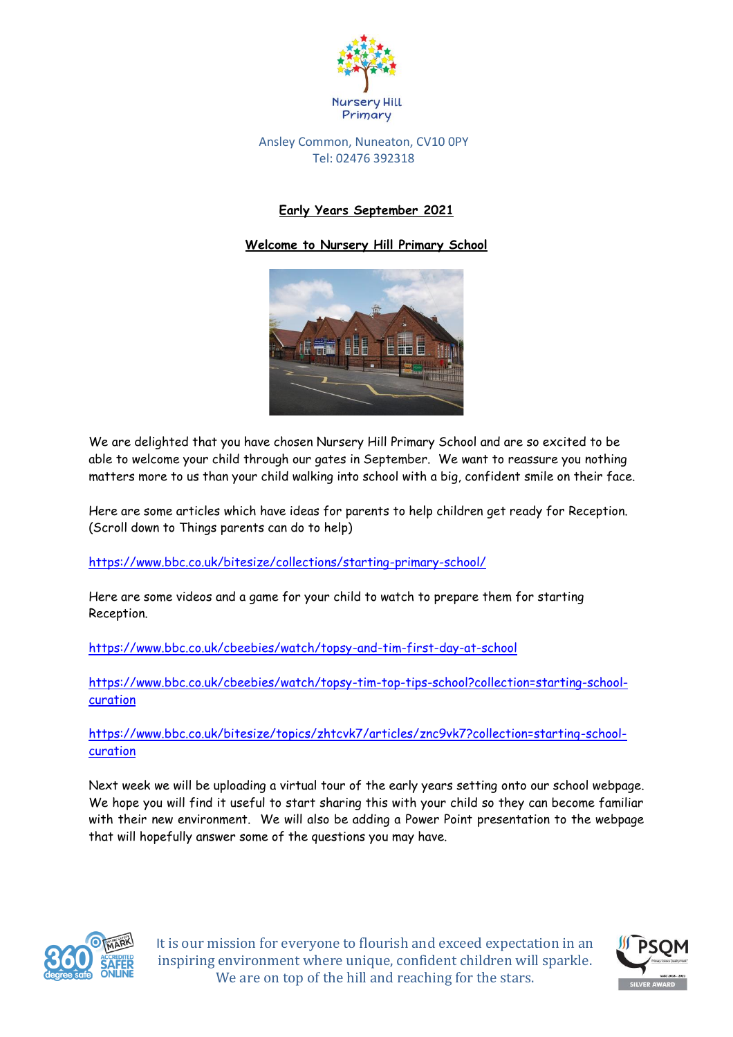

## Ansley Common, Nuneaton, CV10 0PY Tel: 02476 392318

## **Early Years September 2021**

## **Welcome to Nursery Hill Primary School**



We are delighted that you have chosen Nursery Hill Primary School and are so excited to be able to welcome your child through our gates in September. We want to reassure you nothing matters more to us than your child walking into school with a big, confident smile on their face.

Here are some articles which have ideas for parents to help children get ready for Reception. (Scroll down to Things parents can do to help)

<https://www.bbc.co.uk/bitesize/collections/starting-primary-school/>

Here are some videos and a game for your child to watch to prepare them for starting Reception.

<https://www.bbc.co.uk/cbeebies/watch/topsy-and-tim-first-day-at-school>

[https://www.bbc.co.uk/cbeebies/watch/topsy-tim-top-tips-school?collection=starting-school](https://www.bbc.co.uk/cbeebies/watch/topsy-tim-top-tips-school?collection=starting-school-curation)[curation](https://www.bbc.co.uk/cbeebies/watch/topsy-tim-top-tips-school?collection=starting-school-curation)

[https://www.bbc.co.uk/bitesize/topics/zhtcvk7/articles/znc9vk7?collection=starting-school](https://www.bbc.co.uk/bitesize/topics/zhtcvk7/articles/znc9vk7?collection=starting-school-curation)[curation](https://www.bbc.co.uk/bitesize/topics/zhtcvk7/articles/znc9vk7?collection=starting-school-curation)

Next week we will be uploading a virtual tour of the early years setting onto our school webpage. We hope you will find it useful to start sharing this with your child so they can become familiar with their new environment. We will also be adding a Power Point presentation to the webpage that will hopefully answer some of the questions you may have.



It is our mission for everyone to flourish and exceed expectation in an inspiring environment where unique, confident children will sparkle. We are on top of the hill and reaching for the stars.